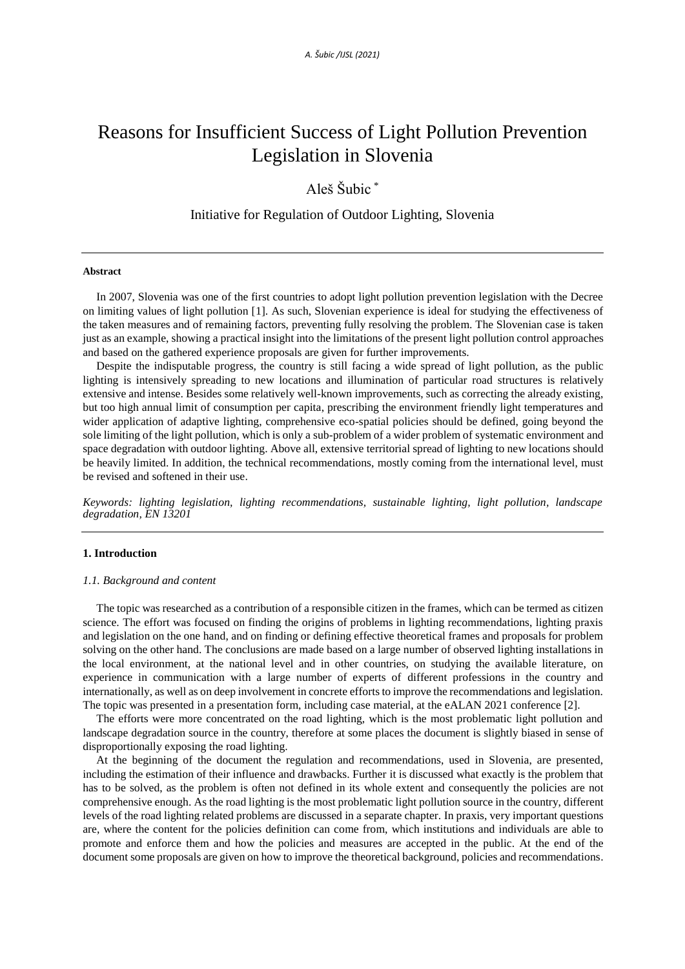# Reasons for Insufficient Success of Light Pollution Prevention Legislation in Slovenia

# Aleš Šubic \*

# Initiative for Regulation of Outdoor Lighting, Slovenia

### **Abstract**

In 2007, Slovenia was one of the first countries to adopt light pollution prevention legislation with the Decree on limiting values of light pollution [1]. As such, Slovenian experience is ideal for studying the effectiveness of the taken measures and of remaining factors, preventing fully resolving the problem. The Slovenian case is taken just as an example, showing a practical insight into the limitations of the present light pollution control approaches and based on the gathered experience proposals are given for further improvements.

Despite the indisputable progress, the country is still facing a wide spread of light pollution, as the public lighting is intensively spreading to new locations and illumination of particular road structures is relatively extensive and intense. Besides some relatively well-known improvements, such as correcting the already existing, but too high annual limit of consumption per capita, prescribing the environment friendly light temperatures and wider application of adaptive lighting, comprehensive eco-spatial policies should be defined, going beyond the sole limiting of the light pollution, which is only a sub-problem of a wider problem of systematic environment and space degradation with outdoor lighting. Above all, extensive territorial spread of lighting to new locations should be heavily limited. In addition, the technical recommendations, mostly coming from the international level, must be revised and softened in their use.

*Keywords: lighting legislation, lighting recommendations, sustainable lighting, light pollution, landscape degradation, EN 13201*

## **1. Introduction**

#### *1.1. Background and content*

The topic was researched as a contribution of a responsible citizen in the frames, which can be termed as citizen science. The effort was focused on finding the origins of problems in lighting recommendations, lighting praxis and legislation on the one hand, and on finding or defining effective theoretical frames and proposals for problem solving on the other hand. The conclusions are made based on a large number of observed lighting installations in the local environment, at the national level and in other countries, on studying the available literature, on experience in communication with a large number of experts of different professions in the country and internationally, as well as on deep involvement in concrete efforts to improve the recommendations and legislation. The topic was presented in a presentation form, including case material, at the eALAN 2021 conference [2].

The efforts were more concentrated on the road lighting, which is the most problematic light pollution and landscape degradation source in the country, therefore at some places the document is slightly biased in sense of disproportionally exposing the road lighting.

At the beginning of the document the regulation and recommendations, used in Slovenia, are presented, including the estimation of their influence and drawbacks. Further it is discussed what exactly is the problem that has to be solved, as the problem is often not defined in its whole extent and consequently the policies are not comprehensive enough. As the road lighting is the most problematic light pollution source in the country, different levels of the road lighting related problems are discussed in a separate chapter. In praxis, very important questions are, where the content for the policies definition can come from, which institutions and individuals are able to promote and enforce them and how the policies and measures are accepted in the public. At the end of the document some proposals are given on how to improve the theoretical background, policies and recommendations.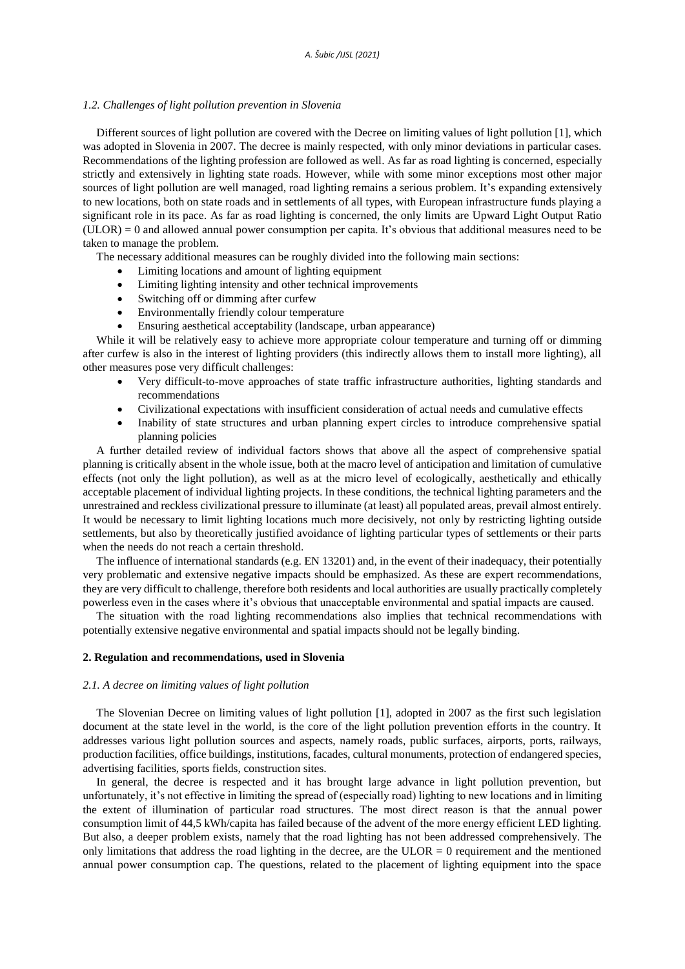#### *1.2. Challenges of light pollution prevention in Slovenia*

Different sources of light pollution are covered with the Decree on limiting values of light pollution [1], which was adopted in Slovenia in 2007. The decree is mainly respected, with only minor deviations in particular cases. Recommendations of the lighting profession are followed as well. As far as road lighting is concerned, especially strictly and extensively in lighting state roads. However, while with some minor exceptions most other major sources of light pollution are well managed, road lighting remains a serious problem. It's expanding extensively to new locations, both on state roads and in settlements of all types, with European infrastructure funds playing a significant role in its pace. As far as road lighting is concerned, the only limits are Upward Light Output Ratio (ULOR) = 0 and allowed annual power consumption per capita. It's obvious that additional measures need to be taken to manage the problem.

The necessary additional measures can be roughly divided into the following main sections:

- Limiting locations and amount of lighting equipment
- Limiting lighting intensity and other technical improvements
- Switching off or dimming after curfew
- Environmentally friendly colour temperature
- Ensuring aesthetical acceptability (landscape, urban appearance)

While it will be relatively easy to achieve more appropriate colour temperature and turning off or dimming after curfew is also in the interest of lighting providers (this indirectly allows them to install more lighting), all other measures pose very difficult challenges:

- Very difficult-to-move approaches of state traffic infrastructure authorities, lighting standards and recommendations
- Civilizational expectations with insufficient consideration of actual needs and cumulative effects
- Inability of state structures and urban planning expert circles to introduce comprehensive spatial planning policies

A further detailed review of individual factors shows that above all the aspect of comprehensive spatial planning is critically absent in the whole issue, both at the macro level of anticipation and limitation of cumulative effects (not only the light pollution), as well as at the micro level of ecologically, aesthetically and ethically acceptable placement of individual lighting projects. In these conditions, the technical lighting parameters and the unrestrained and reckless civilizational pressure to illuminate (at least) all populated areas, prevail almost entirely. It would be necessary to limit lighting locations much more decisively, not only by restricting lighting outside settlements, but also by theoretically justified avoidance of lighting particular types of settlements or their parts when the needs do not reach a certain threshold.

The influence of international standards (e.g. EN 13201) and, in the event of their inadequacy, their potentially very problematic and extensive negative impacts should be emphasized. As these are expert recommendations, they are very difficult to challenge, therefore both residents and local authorities are usually practically completely powerless even in the cases where it's obvious that unacceptable environmental and spatial impacts are caused.

The situation with the road lighting recommendations also implies that technical recommendations with potentially extensive negative environmental and spatial impacts should not be legally binding.

#### **2. Regulation and recommendations, used in Slovenia**

## *2.1. A decree on limiting values of light pollution*

The Slovenian Decree on limiting values of light pollution [1], adopted in 2007 as the first such legislation document at the state level in the world, is the core of the light pollution prevention efforts in the country. It addresses various light pollution sources and aspects, namely roads, public surfaces, airports, ports, railways, production facilities, office buildings, institutions, facades, cultural monuments, protection of endangered species, advertising facilities, sports fields, construction sites.

In general, the decree is respected and it has brought large advance in light pollution prevention, but unfortunately, it's not effective in limiting the spread of (especially road) lighting to new locations and in limiting the extent of illumination of particular road structures. The most direct reason is that the annual power consumption limit of 44,5 kWh/capita has failed because of the advent of the more energy efficient LED lighting. But also, a deeper problem exists, namely that the road lighting has not been addressed comprehensively. The only limitations that address the road lighting in the decree, are the  $ULOR = 0$  requirement and the mentioned annual power consumption cap. The questions, related to the placement of lighting equipment into the space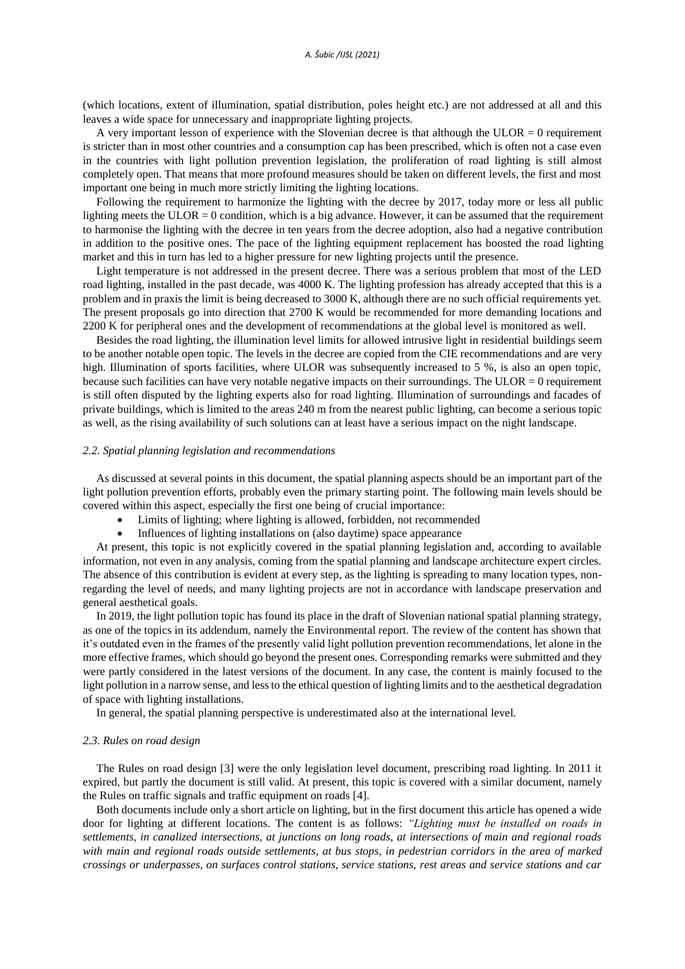(which locations, extent of illumination, spatial distribution, poles height etc.) are not addressed at all and this leaves a wide space for unnecessary and inappropriate lighting projects.

A very important lesson of experience with the Slovenian decree is that although the ULOR  $= 0$  requirement is stricter than in most other countries and a consumption cap has been prescribed, which is often not a case even in the countries with light pollution prevention legislation, the proliferation of road lighting is still almost completely open. That means that more profound measures should be taken on different levels, the first and most important one being in much more strictly limiting the lighting locations.

Following the requirement to harmonize the lighting with the decree by 2017, today more or less all public lighting meets the ULOR = 0 condition, which is a big advance. However, it can be assumed that the requirement to harmonise the lighting with the decree in ten years from the decree adoption, also had a negative contribution in addition to the positive ones. The pace of the lighting equipment replacement has boosted the road lighting market and this in turn has led to a higher pressure for new lighting projects until the presence.

Light temperature is not addressed in the present decree. There was a serious problem that most of the LED road lighting, installed in the past decade, was 4000 K. The lighting profession has already accepted that this is a problem and in praxis the limit is being decreased to 3000 K, although there are no such official requirements yet. The present proposals go into direction that 2700 K would be recommended for more demanding locations and 2200 K for peripheral ones and the development of recommendations at the global level is monitored as well.

Besides the road lighting, the illumination level limits for allowed intrusive light in residential buildings seem to be another notable open topic. The levels in the decree are copied from the CIE recommendations and are very high. Illumination of sports facilities, where ULOR was subsequently increased to 5 %, is also an open topic, because such facilities can have very notable negative impacts on their surroundings. The ULOR  $= 0$  requirement is still often disputed by the lighting experts also for road lighting. Illumination of surroundings and facades of private buildings, which is limited to the areas 240 m from the nearest public lighting, can become a serious topic as well, as the rising availability of such solutions can at least have a serious impact on the night landscape.

## *2.2. Spatial planning legislation and recommendations*

As discussed at several points in this document, the spatial planning aspects should be an important part of the light pollution prevention efforts, probably even the primary starting point. The following main levels should be covered within this aspect, especially the first one being of crucial importance:

- Limits of lighting; where lighting is allowed, forbidden, not recommended
- Influences of lighting installations on (also daytime) space appearance

At present, this topic is not explicitly covered in the spatial planning legislation and, according to available information, not even in any analysis, coming from the spatial planning and landscape architecture expert circles. The absence of this contribution is evident at every step, as the lighting is spreading to many location types, nonregarding the level of needs, and many lighting projects are not in accordance with landscape preservation and general aesthetical goals.

In 2019, the light pollution topic has found its place in the draft of Slovenian national spatial planning strategy, as one of the topics in its addendum, namely the Environmental report. The review of the content has shown that it's outdated even in the frames of the presently valid light pollution prevention recommendations, let alone in the more effective frames, which should go beyond the present ones. Corresponding remarks were submitted and they were partly considered in the latest versions of the document. In any case, the content is mainly focused to the light pollution in a narrow sense, and less to the ethical question of lighting limits and to the aesthetical degradation of space with lighting installations.

In general, the spatial planning perspective is underestimated also at the international level.

#### *2.3. Rules on road design*

The Rules on road design [3] were the only legislation level document, prescribing road lighting. In 2011 it expired, but partly the document is still valid. At present, this topic is covered with a similar document, namely the Rules on traffic signals and traffic equipment on roads [4].

Both documents include only a short article on lighting, but in the first document this article has opened a wide door for lighting at different locations. The content is as follows: *"Lighting must be installed on roads in settlements, in canalized intersections, at junctions on long roads, at intersections of main and regional roads with main and regional roads outside settlements, at bus stops, in pedestrian corridors in the area of marked crossings or underpasses, on surfaces control stations, service stations, rest areas and service stations and car*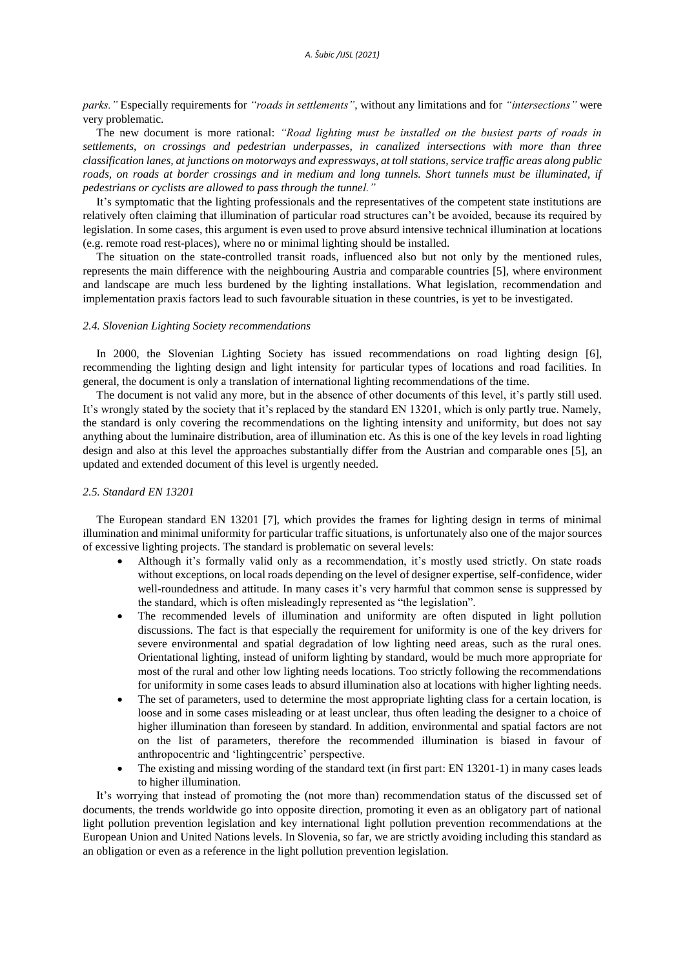*parks."* Especially requirements for *"roads in settlements"*, without any limitations and for *"intersections"* were very problematic.

The new document is more rational: *"Road lighting must be installed on the busiest parts of roads in settlements, on crossings and pedestrian underpasses, in canalized intersections with more than three classification lanes, at junctions on motorways and expressways, at toll stations, service traffic areas along public roads, on roads at border crossings and in medium and long tunnels. Short tunnels must be illuminated, if pedestrians or cyclists are allowed to pass through the tunnel."*

It's symptomatic that the lighting professionals and the representatives of the competent state institutions are relatively often claiming that illumination of particular road structures can't be avoided, because its required by legislation. In some cases, this argument is even used to prove absurd intensive technical illumination at locations (e.g. remote road rest-places), where no or minimal lighting should be installed.

The situation on the state-controlled transit roads, influenced also but not only by the mentioned rules, represents the main difference with the neighbouring Austria and comparable countries [5], where environment and landscape are much less burdened by the lighting installations. What legislation, recommendation and implementation praxis factors lead to such favourable situation in these countries, is yet to be investigated.

#### *2.4. Slovenian Lighting Society recommendations*

In 2000, the Slovenian Lighting Society has issued recommendations on road lighting design [6], recommending the lighting design and light intensity for particular types of locations and road facilities. In general, the document is only a translation of international lighting recommendations of the time.

The document is not valid any more, but in the absence of other documents of this level, it's partly still used. It's wrongly stated by the society that it's replaced by the standard EN 13201, which is only partly true. Namely, the standard is only covering the recommendations on the lighting intensity and uniformity, but does not say anything about the luminaire distribution, area of illumination etc. As this is one of the key levels in road lighting design and also at this level the approaches substantially differ from the Austrian and comparable ones [5], an updated and extended document of this level is urgently needed.

#### *2.5. Standard EN 13201*

The European standard EN 13201 [7], which provides the frames for lighting design in terms of minimal illumination and minimal uniformity for particular traffic situations, is unfortunately also one of the major sources of excessive lighting projects. The standard is problematic on several levels:

- Although it's formally valid only as a recommendation, it's mostly used strictly. On state roads without exceptions, on local roads depending on the level of designer expertise, self-confidence, wider well-roundedness and attitude. In many cases it's very harmful that common sense is suppressed by the standard, which is often misleadingly represented as "the legislation".
- The recommended levels of illumination and uniformity are often disputed in light pollution discussions. The fact is that especially the requirement for uniformity is one of the key drivers for severe environmental and spatial degradation of low lighting need areas, such as the rural ones. Orientational lighting, instead of uniform lighting by standard, would be much more appropriate for most of the rural and other low lighting needs locations. Too strictly following the recommendations for uniformity in some cases leads to absurd illumination also at locations with higher lighting needs.
- The set of parameters, used to determine the most appropriate lighting class for a certain location, is loose and in some cases misleading or at least unclear, thus often leading the designer to a choice of higher illumination than foreseen by standard. In addition, environmental and spatial factors are not on the list of parameters, therefore the recommended illumination is biased in favour of anthropocentric and 'lightingcentric' perspective.
- The existing and missing wording of the standard text (in first part: EN 13201-1) in many cases leads to higher illumination.

It's worrying that instead of promoting the (not more than) recommendation status of the discussed set of documents, the trends worldwide go into opposite direction, promoting it even as an obligatory part of national light pollution prevention legislation and key international light pollution prevention recommendations at the European Union and United Nations levels. In Slovenia, so far, we are strictly avoiding including this standard as an obligation or even as a reference in the light pollution prevention legislation.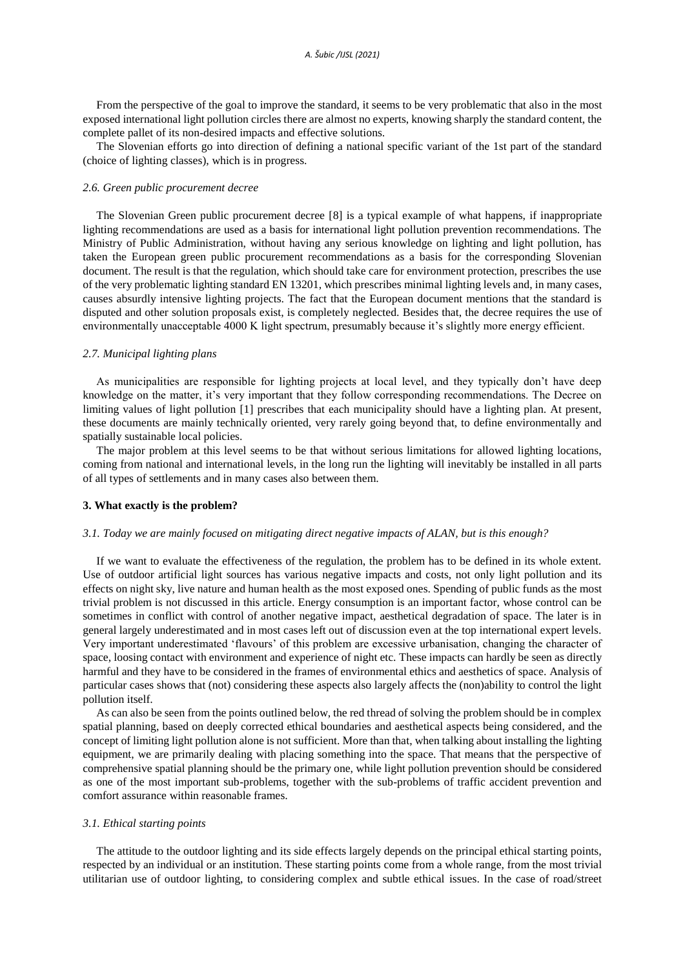From the perspective of the goal to improve the standard, it seems to be very problematic that also in the most exposed international light pollution circles there are almost no experts, knowing sharply the standard content, the complete pallet of its non-desired impacts and effective solutions.

The Slovenian efforts go into direction of defining a national specific variant of the 1st part of the standard (choice of lighting classes), which is in progress.

### *2.6. Green public procurement decree*

The Slovenian Green public procurement decree [8] is a typical example of what happens, if inappropriate lighting recommendations are used as a basis for international light pollution prevention recommendations. The Ministry of Public Administration, without having any serious knowledge on lighting and light pollution, has taken the European green public procurement recommendations as a basis for the corresponding Slovenian document. The result is that the regulation, which should take care for environment protection, prescribes the use of the very problematic lighting standard EN 13201, which prescribes minimal lighting levels and, in many cases, causes absurdly intensive lighting projects. The fact that the European document mentions that the standard is disputed and other solution proposals exist, is completely neglected. Besides that, the decree requires the use of environmentally unacceptable 4000 K light spectrum, presumably because it's slightly more energy efficient.

#### *2.7. Municipal lighting plans*

As municipalities are responsible for lighting projects at local level, and they typically don't have deep knowledge on the matter, it's very important that they follow corresponding recommendations. The Decree on limiting values of light pollution [1] prescribes that each municipality should have a lighting plan. At present, these documents are mainly technically oriented, very rarely going beyond that, to define environmentally and spatially sustainable local policies.

The major problem at this level seems to be that without serious limitations for allowed lighting locations, coming from national and international levels, in the long run the lighting will inevitably be installed in all parts of all types of settlements and in many cases also between them.

#### **3. What exactly is the problem?**

# *3.1. Today we are mainly focused on mitigating direct negative impacts of ALAN, but is this enough?*

If we want to evaluate the effectiveness of the regulation, the problem has to be defined in its whole extent. Use of outdoor artificial light sources has various negative impacts and costs, not only light pollution and its effects on night sky, live nature and human health as the most exposed ones. Spending of public funds as the most trivial problem is not discussed in this article. Energy consumption is an important factor, whose control can be sometimes in conflict with control of another negative impact, aesthetical degradation of space. The later is in general largely underestimated and in most cases left out of discussion even at the top international expert levels. Very important underestimated 'flavours' of this problem are excessive urbanisation, changing the character of space, loosing contact with environment and experience of night etc. These impacts can hardly be seen as directly harmful and they have to be considered in the frames of environmental ethics and aesthetics of space. Analysis of particular cases shows that (not) considering these aspects also largely affects the (non)ability to control the light pollution itself.

As can also be seen from the points outlined below, the red thread of solving the problem should be in complex spatial planning, based on deeply corrected ethical boundaries and aesthetical aspects being considered, and the concept of limiting light pollution alone is not sufficient. More than that, when talking about installing the lighting equipment, we are primarily dealing with placing something into the space. That means that the perspective of comprehensive spatial planning should be the primary one, while light pollution prevention should be considered as one of the most important sub-problems, together with the sub-problems of traffic accident prevention and comfort assurance within reasonable frames.

### *3.1. Ethical starting points*

The attitude to the outdoor lighting and its side effects largely depends on the principal ethical starting points, respected by an individual or an institution. These starting points come from a whole range, from the most trivial utilitarian use of outdoor lighting, to considering complex and subtle ethical issues. In the case of road/street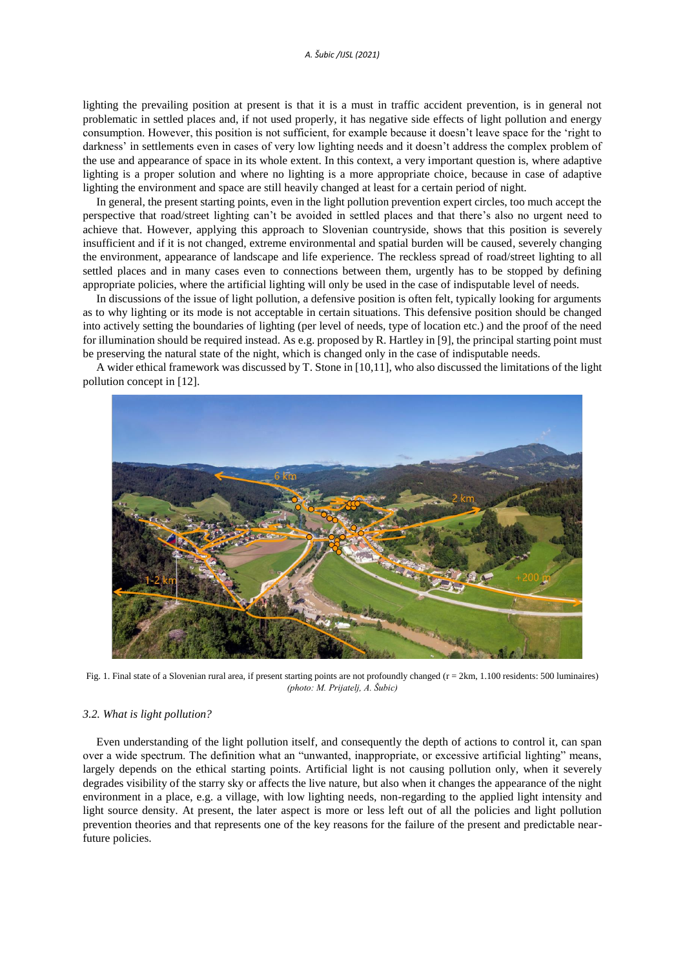lighting the prevailing position at present is that it is a must in traffic accident prevention, is in general not problematic in settled places and, if not used properly, it has negative side effects of light pollution and energy consumption. However, this position is not sufficient, for example because it doesn't leave space for the 'right to darkness' in settlements even in cases of very low lighting needs and it doesn't address the complex problem of the use and appearance of space in its whole extent. In this context, a very important question is, where adaptive lighting is a proper solution and where no lighting is a more appropriate choice, because in case of adaptive lighting the environment and space are still heavily changed at least for a certain period of night.

In general, the present starting points, even in the light pollution prevention expert circles, too much accept the perspective that road/street lighting can't be avoided in settled places and that there's also no urgent need to achieve that. However, applying this approach to Slovenian countryside, shows that this position is severely insufficient and if it is not changed, extreme environmental and spatial burden will be caused, severely changing the environment, appearance of landscape and life experience. The reckless spread of road/street lighting to all settled places and in many cases even to connections between them, urgently has to be stopped by defining appropriate policies, where the artificial lighting will only be used in the case of indisputable level of needs.

In discussions of the issue of light pollution, a defensive position is often felt, typically looking for arguments as to why lighting or its mode is not acceptable in certain situations. This defensive position should be changed into actively setting the boundaries of lighting (per level of needs, type of location etc.) and the proof of the need for illumination should be required instead. As e.g. proposed by R. Hartley in [9], the principal starting point must be preserving the natural state of the night, which is changed only in the case of indisputable needs.

A wider ethical framework was discussed by T. Stone in [10,11], who also discussed the limitations of the light pollution concept in [12].



Fig. 1. Final state of a Slovenian rural area, if present starting points are not profoundly changed (r = 2km, 1.100 residents: 500 luminaires) *(photo: M. Prijatelj, A. Šubic)*

# *3.2. What is light pollution?*

Even understanding of the light pollution itself, and consequently the depth of actions to control it, can span over a wide spectrum. The definition what an "unwanted, inappropriate, or excessive artificial lighting" means, largely depends on the ethical starting points. Artificial light is not causing pollution only, when it severely degrades visibility of the starry sky or affects the live nature, but also when it changes the appearance of the night environment in a place, e.g. a village, with low lighting needs, non-regarding to the applied light intensity and light source density. At present, the later aspect is more or less left out of all the policies and light pollution prevention theories and that represents one of the key reasons for the failure of the present and predictable nearfuture policies.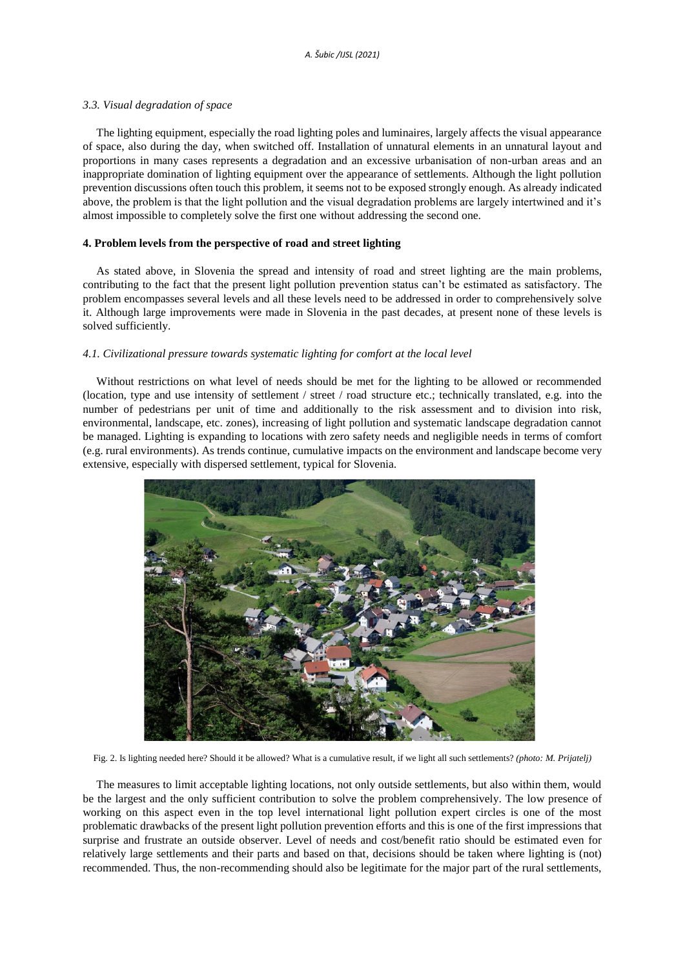#### *3.3. Visual degradation of space*

The lighting equipment, especially the road lighting poles and luminaires, largely affects the visual appearance of space, also during the day, when switched off. Installation of unnatural elements in an unnatural layout and proportions in many cases represents a degradation and an excessive urbanisation of non-urban areas and an inappropriate domination of lighting equipment over the appearance of settlements. Although the light pollution prevention discussions often touch this problem, it seems not to be exposed strongly enough. As already indicated above, the problem is that the light pollution and the visual degradation problems are largely intertwined and it's almost impossible to completely solve the first one without addressing the second one.

## **4. Problem levels from the perspective of road and street lighting**

As stated above, in Slovenia the spread and intensity of road and street lighting are the main problems, contributing to the fact that the present light pollution prevention status can't be estimated as satisfactory. The problem encompasses several levels and all these levels need to be addressed in order to comprehensively solve it. Although large improvements were made in Slovenia in the past decades, at present none of these levels is solved sufficiently.

## *4.1. Civilizational pressure towards systematic lighting for comfort at the local level*

Without restrictions on what level of needs should be met for the lighting to be allowed or recommended (location, type and use intensity of settlement / street / road structure etc.; technically translated, e.g. into the number of pedestrians per unit of time and additionally to the risk assessment and to division into risk, environmental, landscape, etc. zones), increasing of light pollution and systematic landscape degradation cannot be managed. Lighting is expanding to locations with zero safety needs and negligible needs in terms of comfort (e.g. rural environments). As trends continue, cumulative impacts on the environment and landscape become very extensive, especially with dispersed settlement, typical for Slovenia.



Fig. 2. Is lighting needed here? Should it be allowed? What is a cumulative result, if we light all such settlements? *(photo: M. Prijatelj)*

The measures to limit acceptable lighting locations, not only outside settlements, but also within them, would be the largest and the only sufficient contribution to solve the problem comprehensively. The low presence of working on this aspect even in the top level international light pollution expert circles is one of the most problematic drawbacks of the present light pollution prevention efforts and this is one of the first impressions that surprise and frustrate an outside observer. Level of needs and cost/benefit ratio should be estimated even for relatively large settlements and their parts and based on that, decisions should be taken where lighting is (not) recommended. Thus, the non-recommending should also be legitimate for the major part of the rural settlements,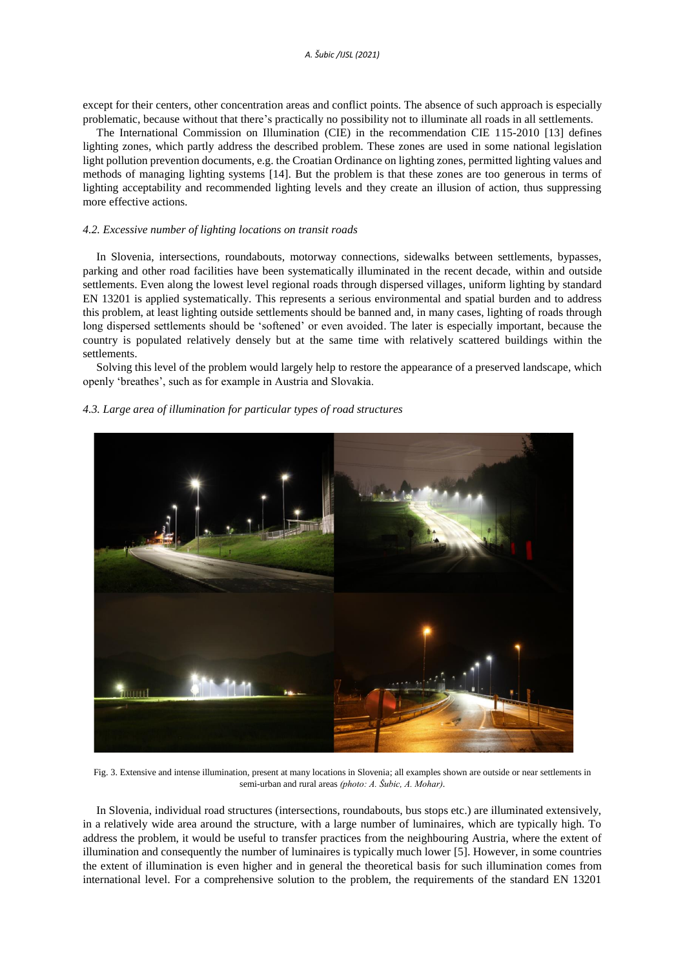except for their centers, other concentration areas and conflict points. The absence of such approach is especially problematic, because without that there's practically no possibility not to illuminate all roads in all settlements.

The International Commission on Illumination (CIE) in the recommendation CIE 115-2010 [13] defines lighting zones, which partly address the described problem. These zones are used in some national legislation light pollution prevention documents, e.g. the Croatian Ordinance on lighting zones, permitted lighting values and methods of managing lighting systems [14]. But the problem is that these zones are too generous in terms of lighting acceptability and recommended lighting levels and they create an illusion of action, thus suppressing more effective actions.

#### *4.2. Excessive number of lighting locations on transit roads*

In Slovenia, intersections, roundabouts, motorway connections, sidewalks between settlements, bypasses, parking and other road facilities have been systematically illuminated in the recent decade, within and outside settlements. Even along the lowest level regional roads through dispersed villages, uniform lighting by standard EN 13201 is applied systematically. This represents a serious environmental and spatial burden and to address this problem, at least lighting outside settlements should be banned and, in many cases, lighting of roads through long dispersed settlements should be 'softened' or even avoided. The later is especially important, because the country is populated relatively densely but at the same time with relatively scattered buildings within the settlements.

Solving this level of the problem would largely help to restore the appearance of a preserved landscape, which openly 'breathes', such as for example in Austria and Slovakia.

## *4.3. Large area of illumination for particular types of road structures*



Fig. 3. Extensive and intense illumination, present at many locations in Slovenia; all examples shown are outside or near settlements in semi-urban and rural areas *(photo: A. Šubic, A. Mohar).*

In Slovenia, individual road structures (intersections, roundabouts, bus stops etc.) are illuminated extensively, in a relatively wide area around the structure, with a large number of luminaires, which are typically high. To address the problem, it would be useful to transfer practices from the neighbouring Austria, where the extent of illumination and consequently the number of luminaires is typically much lower [5]. However, in some countries the extent of illumination is even higher and in general the theoretical basis for such illumination comes from international level. For a comprehensive solution to the problem, the requirements of the standard EN 13201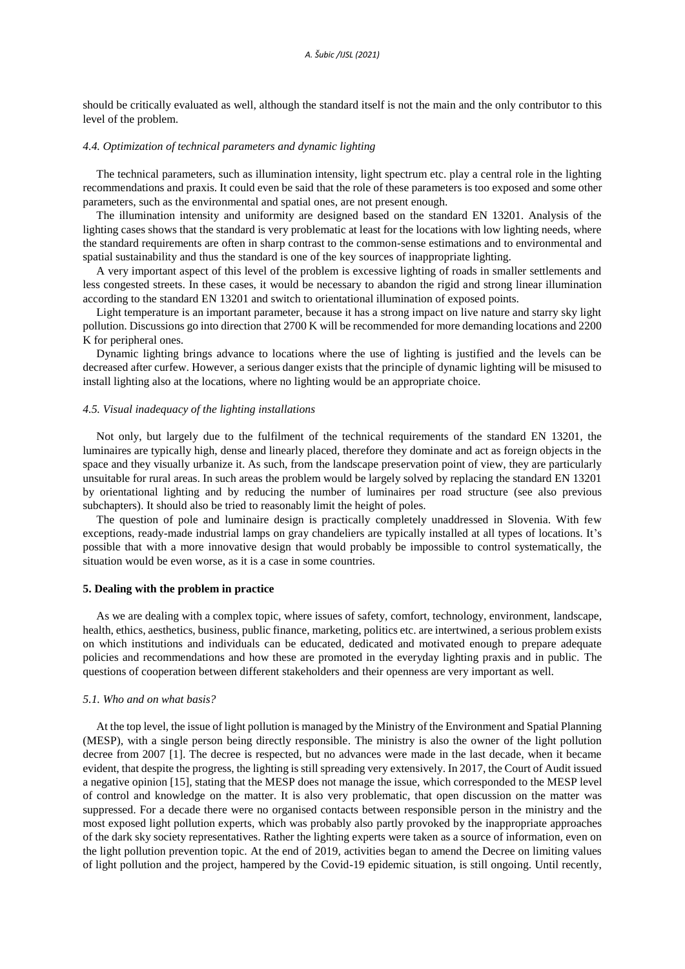should be critically evaluated as well, although the standard itself is not the main and the only contributor to this level of the problem.

# *4.4. Optimization of technical parameters and dynamic lighting*

The technical parameters, such as illumination intensity, light spectrum etc. play a central role in the lighting recommendations and praxis. It could even be said that the role of these parameters is too exposed and some other parameters, such as the environmental and spatial ones, are not present enough.

The illumination intensity and uniformity are designed based on the standard EN 13201. Analysis of the lighting cases shows that the standard is very problematic at least for the locations with low lighting needs, where the standard requirements are often in sharp contrast to the common-sense estimations and to environmental and spatial sustainability and thus the standard is one of the key sources of inappropriate lighting.

A very important aspect of this level of the problem is excessive lighting of roads in smaller settlements and less congested streets. In these cases, it would be necessary to abandon the rigid and strong linear illumination according to the standard EN 13201 and switch to orientational illumination of exposed points.

Light temperature is an important parameter, because it has a strong impact on live nature and starry sky light pollution. Discussions go into direction that 2700 K will be recommended for more demanding locations and 2200 K for peripheral ones.

Dynamic lighting brings advance to locations where the use of lighting is justified and the levels can be decreased after curfew. However, a serious danger exists that the principle of dynamic lighting will be misused to install lighting also at the locations, where no lighting would be an appropriate choice.

# *4.5. Visual inadequacy of the lighting installations*

Not only, but largely due to the fulfilment of the technical requirements of the standard EN 13201, the luminaires are typically high, dense and linearly placed, therefore they dominate and act as foreign objects in the space and they visually urbanize it. As such, from the landscape preservation point of view, they are particularly unsuitable for rural areas. In such areas the problem would be largely solved by replacing the standard EN 13201 by orientational lighting and by reducing the number of luminaires per road structure (see also previous subchapters). It should also be tried to reasonably limit the height of poles.

The question of pole and luminaire design is practically completely unaddressed in Slovenia. With few exceptions, ready-made industrial lamps on gray chandeliers are typically installed at all types of locations. It's possible that with a more innovative design that would probably be impossible to control systematically, the situation would be even worse, as it is a case in some countries.

### **5. Dealing with the problem in practice**

As we are dealing with a complex topic, where issues of safety, comfort, technology, environment, landscape, health, ethics, aesthetics, business, public finance, marketing, politics etc. are intertwined, a serious problem exists on which institutions and individuals can be educated, dedicated and motivated enough to prepare adequate policies and recommendations and how these are promoted in the everyday lighting praxis and in public. The questions of cooperation between different stakeholders and their openness are very important as well.

#### *5.1. Who and on what basis?*

At the top level, the issue of light pollution is managed by the Ministry of the Environment and Spatial Planning (MESP), with a single person being directly responsible. The ministry is also the owner of the light pollution decree from 2007 [1]. The decree is respected, but no advances were made in the last decade, when it became evident, that despite the progress, the lighting is still spreading very extensively. In 2017, the Court of Audit issued a negative opinion [15], stating that the MESP does not manage the issue, which corresponded to the MESP level of control and knowledge on the matter. It is also very problematic, that open discussion on the matter was suppressed. For a decade there were no organised contacts between responsible person in the ministry and the most exposed light pollution experts, which was probably also partly provoked by the inappropriate approaches of the dark sky society representatives. Rather the lighting experts were taken as a source of information, even on the light pollution prevention topic. At the end of 2019, activities began to amend the Decree on limiting values of light pollution and the project, hampered by the Covid-19 epidemic situation, is still ongoing. Until recently,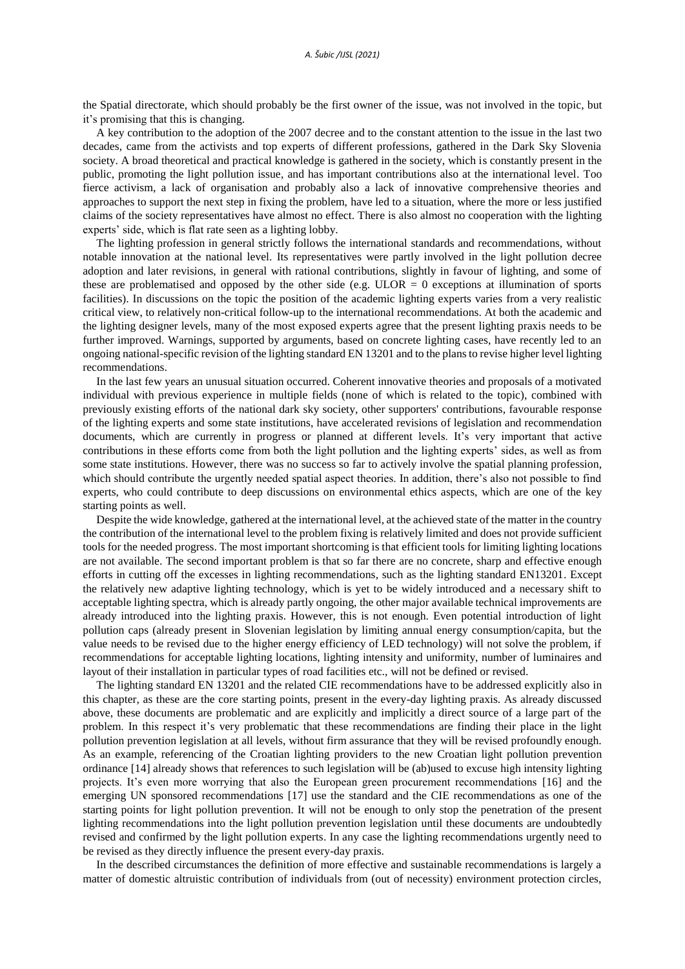the Spatial directorate, which should probably be the first owner of the issue, was not involved in the topic, but it's promising that this is changing.

A key contribution to the adoption of the 2007 decree and to the constant attention to the issue in the last two decades, came from the activists and top experts of different professions, gathered in the Dark Sky Slovenia society. A broad theoretical and practical knowledge is gathered in the society, which is constantly present in the public, promoting the light pollution issue, and has important contributions also at the international level. Too fierce activism, a lack of organisation and probably also a lack of innovative comprehensive theories and approaches to support the next step in fixing the problem, have led to a situation, where the more or less justified claims of the society representatives have almost no effect. There is also almost no cooperation with the lighting experts' side, which is flat rate seen as a lighting lobby.

The lighting profession in general strictly follows the international standards and recommendations, without notable innovation at the national level. Its representatives were partly involved in the light pollution decree adoption and later revisions, in general with rational contributions, slightly in favour of lighting, and some of these are problematised and opposed by the other side (e.g.  $ULOR = 0$  exceptions at illumination of sports facilities). In discussions on the topic the position of the academic lighting experts varies from a very realistic critical view, to relatively non-critical follow-up to the international recommendations. At both the academic and the lighting designer levels, many of the most exposed experts agree that the present lighting praxis needs to be further improved. Warnings, supported by arguments, based on concrete lighting cases, have recently led to an ongoing national-specific revision of the lighting standard EN 13201 and to the plans to revise higher level lighting recommendations.

In the last few years an unusual situation occurred. Coherent innovative theories and proposals of a motivated individual with previous experience in multiple fields (none of which is related to the topic), combined with previously existing efforts of the national dark sky society, other supporters' contributions, favourable response of the lighting experts and some state institutions, have accelerated revisions of legislation and recommendation documents, which are currently in progress or planned at different levels. It's very important that active contributions in these efforts come from both the light pollution and the lighting experts' sides, as well as from some state institutions. However, there was no success so far to actively involve the spatial planning profession, which should contribute the urgently needed spatial aspect theories. In addition, there's also not possible to find experts, who could contribute to deep discussions on environmental ethics aspects, which are one of the key starting points as well.

Despite the wide knowledge, gathered at the international level, at the achieved state of the matter in the country the contribution of the international level to the problem fixing is relatively limited and does not provide sufficient tools for the needed progress. The most important shortcoming is that efficient tools for limiting lighting locations are not available. The second important problem is that so far there are no concrete, sharp and effective enough efforts in cutting off the excesses in lighting recommendations, such as the lighting standard EN13201. Except the relatively new adaptive lighting technology, which is yet to be widely introduced and a necessary shift to acceptable lighting spectra, which is already partly ongoing, the other major available technical improvements are already introduced into the lighting praxis. However, this is not enough. Even potential introduction of light pollution caps (already present in Slovenian legislation by limiting annual energy consumption/capita, but the value needs to be revised due to the higher energy efficiency of LED technology) will not solve the problem, if recommendations for acceptable lighting locations, lighting intensity and uniformity, number of luminaires and layout of their installation in particular types of road facilities etc., will not be defined or revised.

The lighting standard EN 13201 and the related CIE recommendations have to be addressed explicitly also in this chapter, as these are the core starting points, present in the every-day lighting praxis. As already discussed above, these documents are problematic and are explicitly and implicitly a direct source of a large part of the problem. In this respect it's very problematic that these recommendations are finding their place in the light pollution prevention legislation at all levels, without firm assurance that they will be revised profoundly enough. As an example, referencing of the Croatian lighting providers to the new Croatian light pollution prevention ordinance [14] already shows that references to such legislation will be (ab)used to excuse high intensity lighting projects. It's even more worrying that also the European green procurement recommendations [16] and the emerging UN sponsored recommendations [17] use the standard and the CIE recommendations as one of the starting points for light pollution prevention. It will not be enough to only stop the penetration of the present lighting recommendations into the light pollution prevention legislation until these documents are undoubtedly revised and confirmed by the light pollution experts. In any case the lighting recommendations urgently need to be revised as they directly influence the present every-day praxis.

In the described circumstances the definition of more effective and sustainable recommendations is largely a matter of domestic altruistic contribution of individuals from (out of necessity) environment protection circles,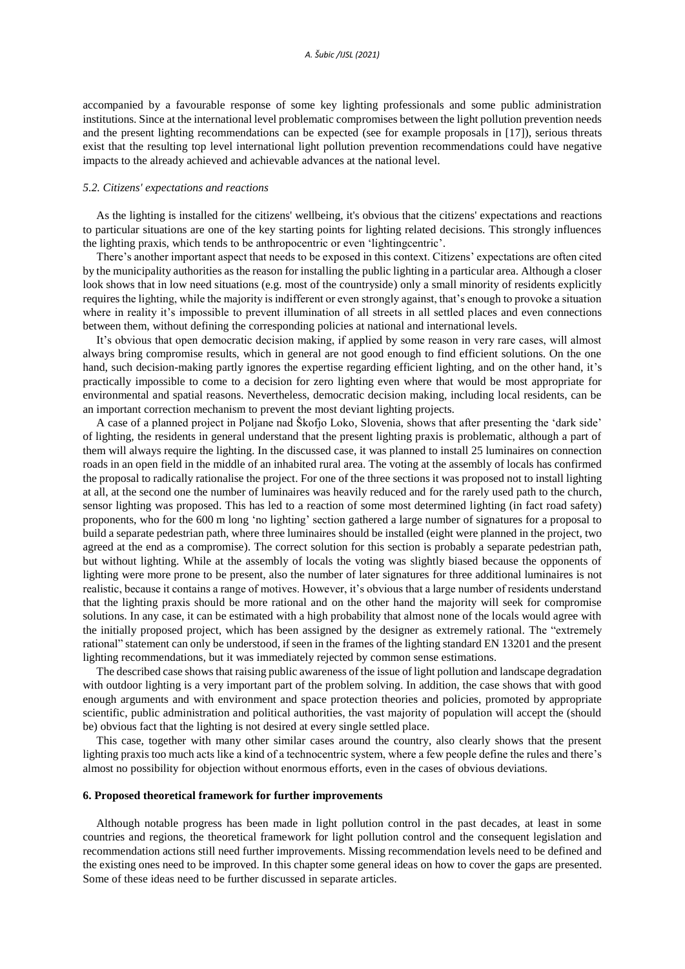accompanied by a favourable response of some key lighting professionals and some public administration institutions. Since at the international level problematic compromises between the light pollution prevention needs and the present lighting recommendations can be expected (see for example proposals in [17]), serious threats exist that the resulting top level international light pollution prevention recommendations could have negative impacts to the already achieved and achievable advances at the national level.

#### *5.2. Citizens' expectations and reactions*

As the lighting is installed for the citizens' wellbeing, it's obvious that the citizens' expectations and reactions to particular situations are one of the key starting points for lighting related decisions. This strongly influences the lighting praxis, which tends to be anthropocentric or even 'lightingcentric'.

There's another important aspect that needs to be exposed in this context. Citizens' expectations are often cited by the municipality authorities as the reason for installing the public lighting in a particular area. Although a closer look shows that in low need situations (e.g. most of the countryside) only a small minority of residents explicitly requires the lighting, while the majority is indifferent or even strongly against, that's enough to provoke a situation where in reality it's impossible to prevent illumination of all streets in all settled places and even connections between them, without defining the corresponding policies at national and international levels.

It's obvious that open democratic decision making, if applied by some reason in very rare cases, will almost always bring compromise results, which in general are not good enough to find efficient solutions. On the one hand, such decision-making partly ignores the expertise regarding efficient lighting, and on the other hand, it's practically impossible to come to a decision for zero lighting even where that would be most appropriate for environmental and spatial reasons. Nevertheless, democratic decision making, including local residents, can be an important correction mechanism to prevent the most deviant lighting projects.

A case of a planned project in Poljane nad Škofjo Loko, Slovenia, shows that after presenting the 'dark side' of lighting, the residents in general understand that the present lighting praxis is problematic, although a part of them will always require the lighting. In the discussed case, it was planned to install 25 luminaires on connection roads in an open field in the middle of an inhabited rural area. The voting at the assembly of locals has confirmed the proposal to radically rationalise the project. For one of the three sections it was proposed not to install lighting at all, at the second one the number of luminaires was heavily reduced and for the rarely used path to the church, sensor lighting was proposed. This has led to a reaction of some most determined lighting (in fact road safety) proponents, who for the 600 m long 'no lighting' section gathered a large number of signatures for a proposal to build a separate pedestrian path, where three luminaires should be installed (eight were planned in the project, two agreed at the end as a compromise). The correct solution for this section is probably a separate pedestrian path, but without lighting. While at the assembly of locals the voting was slightly biased because the opponents of lighting were more prone to be present, also the number of later signatures for three additional luminaires is not realistic, because it contains a range of motives. However, it's obvious that a large number of residents understand that the lighting praxis should be more rational and on the other hand the majority will seek for compromise solutions. In any case, it can be estimated with a high probability that almost none of the locals would agree with the initially proposed project, which has been assigned by the designer as extremely rational. The "extremely rational" statement can only be understood, if seen in the frames of the lighting standard EN 13201 and the present lighting recommendations, but it was immediately rejected by common sense estimations.

The described case shows that raising public awareness of the issue of light pollution and landscape degradation with outdoor lighting is a very important part of the problem solving. In addition, the case shows that with good enough arguments and with environment and space protection theories and policies, promoted by appropriate scientific, public administration and political authorities, the vast majority of population will accept the (should be) obvious fact that the lighting is not desired at every single settled place.

This case, together with many other similar cases around the country, also clearly shows that the present lighting praxis too much acts like a kind of a technocentric system, where a few people define the rules and there's almost no possibility for objection without enormous efforts, even in the cases of obvious deviations.

#### **6. Proposed theoretical framework for further improvements**

Although notable progress has been made in light pollution control in the past decades, at least in some countries and regions, the theoretical framework for light pollution control and the consequent legislation and recommendation actions still need further improvements. Missing recommendation levels need to be defined and the existing ones need to be improved. In this chapter some general ideas on how to cover the gaps are presented. Some of these ideas need to be further discussed in separate articles.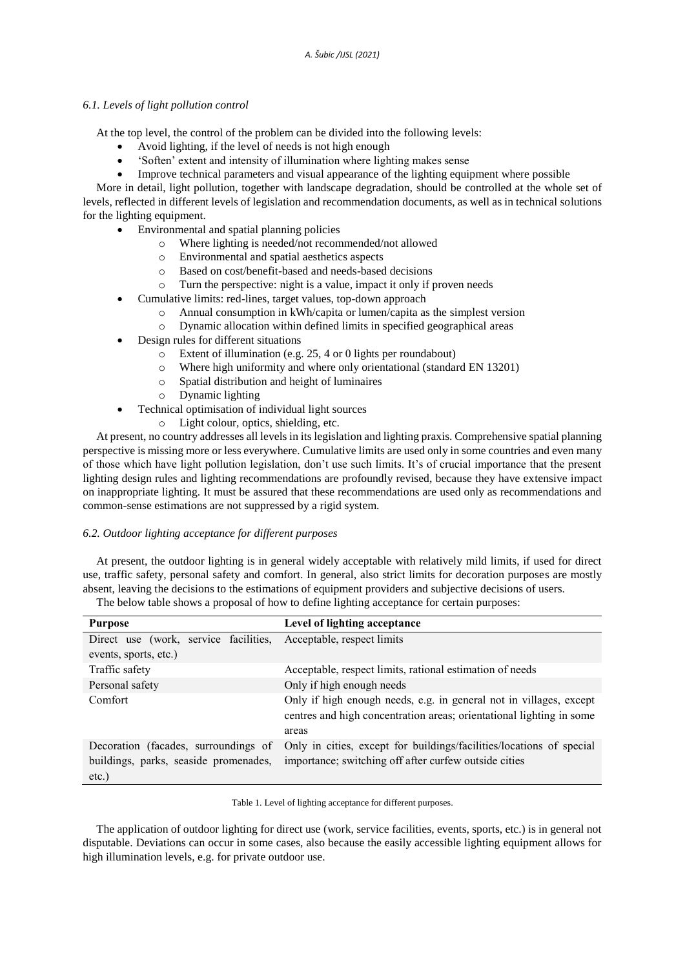# *6.1. Levels of light pollution control*

At the top level, the control of the problem can be divided into the following levels:

- Avoid lighting, if the level of needs is not high enough
- 'Soften' extent and intensity of illumination where lighting makes sense
- Improve technical parameters and visual appearance of the lighting equipment where possible

More in detail, light pollution, together with landscape degradation, should be controlled at the whole set of levels, reflected in different levels of legislation and recommendation documents, as well as in technical solutions for the lighting equipment.

- Environmental and spatial planning policies
	- o Where lighting is needed/not recommended/not allowed
	- o Environmental and spatial aesthetics aspects
	- o Based on cost/benefit-based and needs-based decisions
	- o Turn the perspective: night is a value, impact it only if proven needs
- Cumulative limits: red-lines, target values, top-down approach
	- o Annual consumption in kWh/capita or lumen/capita as the simplest version
	- o Dynamic allocation within defined limits in specified geographical areas
- Design rules for different situations
	- o Extent of illumination (e.g. 25, 4 or 0 lights per roundabout)
	- o Where high uniformity and where only orientational (standard EN 13201)
	- o Spatial distribution and height of luminaires
	- o Dynamic lighting
- Technical optimisation of individual light sources
	- o Light colour, optics, shielding, etc.

At present, no country addresses all levels in its legislation and lighting praxis. Comprehensive spatial planning perspective is missing more or less everywhere. Cumulative limits are used only in some countries and even many of those which have light pollution legislation, don't use such limits. It's of crucial importance that the present lighting design rules and lighting recommendations are profoundly revised, because they have extensive impact on inappropriate lighting. It must be assured that these recommendations are used only as recommendations and common-sense estimations are not suppressed by a rigid system.

# *6.2. Outdoor lighting acceptance for different purposes*

At present, the outdoor lighting is in general widely acceptable with relatively mild limits, if used for direct use, traffic safety, personal safety and comfort. In general, also strict limits for decoration purposes are mostly absent, leaving the decisions to the estimations of equipment providers and subjective decisions of users.

The below table shows a proposal of how to define lighting acceptance for certain purposes:

| <b>Purpose</b>                                   | Level of lighting acceptance                                                                                                                                        |
|--------------------------------------------------|---------------------------------------------------------------------------------------------------------------------------------------------------------------------|
| Direct use (work, service facilities,            | Acceptable, respect limits                                                                                                                                          |
| events, sports, etc.)                            |                                                                                                                                                                     |
| Traffic safety                                   | Acceptable, respect limits, rational estimation of needs                                                                                                            |
| Personal safety                                  | Only if high enough needs                                                                                                                                           |
| Comfort                                          | Only if high enough needs, e.g. in general not in villages, except<br>centres and high concentration areas; orientational lighting in some                          |
|                                                  | areas                                                                                                                                                               |
| Decoration (facades, surroundings of<br>$etc.$ ) | Only in cities, except for buildings/facilities/locations of special<br>buildings, parks, seaside promenades, importance; switching off after curfew outside cities |

Table 1. Level of lighting acceptance for different purposes.

The application of outdoor lighting for direct use (work, service facilities, events, sports, etc.) is in general not disputable. Deviations can occur in some cases, also because the easily accessible lighting equipment allows for high illumination levels, e.g. for private outdoor use.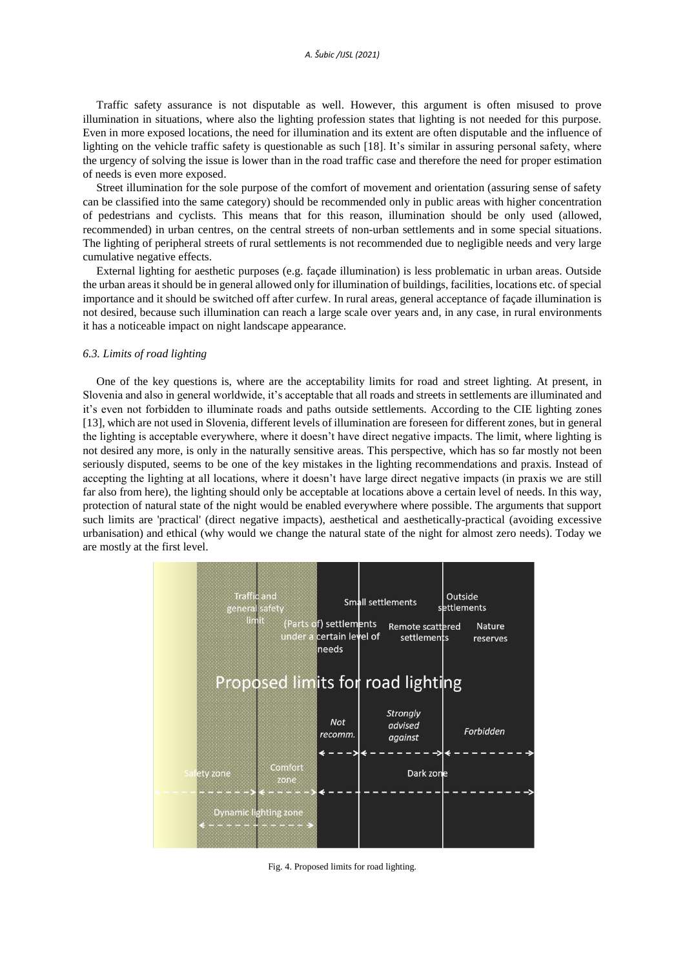Traffic safety assurance is not disputable as well. However, this argument is often misused to prove illumination in situations, where also the lighting profession states that lighting is not needed for this purpose. Even in more exposed locations, the need for illumination and its extent are often disputable and the influence of lighting on the vehicle traffic safety is questionable as such [18]. It's similar in assuring personal safety, where the urgency of solving the issue is lower than in the road traffic case and therefore the need for proper estimation of needs is even more exposed.

Street illumination for the sole purpose of the comfort of movement and orientation (assuring sense of safety can be classified into the same category) should be recommended only in public areas with higher concentration of pedestrians and cyclists. This means that for this reason, illumination should be only used (allowed, recommended) in urban centres, on the central streets of non-urban settlements and in some special situations. The lighting of peripheral streets of rural settlements is not recommended due to negligible needs and very large cumulative negative effects.

External lighting for aesthetic purposes (e.g. façade illumination) is less problematic in urban areas. Outside the urban areas it should be in general allowed only for illumination of buildings, facilities, locations etc. of special importance and it should be switched off after curfew. In rural areas, general acceptance of façade illumination is not desired, because such illumination can reach a large scale over years and, in any case, in rural environments it has a noticeable impact on night landscape appearance.

#### *6.3. Limits of road lighting*

One of the key questions is, where are the acceptability limits for road and street lighting. At present, in Slovenia and also in general worldwide, it's acceptable that all roads and streets in settlements are illuminated and it's even not forbidden to illuminate roads and paths outside settlements. According to the CIE lighting zones [13], which are not used in Slovenia, different levels of illumination are foreseen for different zones, but in general the lighting is acceptable everywhere, where it doesn't have direct negative impacts. The limit, where lighting is not desired any more, is only in the naturally sensitive areas. This perspective, which has so far mostly not been seriously disputed, seems to be one of the key mistakes in the lighting recommendations and praxis. Instead of accepting the lighting at all locations, where it doesn't have large direct negative impacts (in praxis we are still far also from here), the lighting should only be acceptable at locations above a certain level of needs. In this way, protection of natural state of the night would be enabled everywhere where possible. The arguments that support such limits are 'practical' (direct negative impacts), aesthetical and aesthetically-practical (avoiding excessive urbanisation) and ethical (why would we change the natural state of the night for almost zero needs). Today we are mostly at the first level.



Fig. 4. Proposed limits for road lighting*.*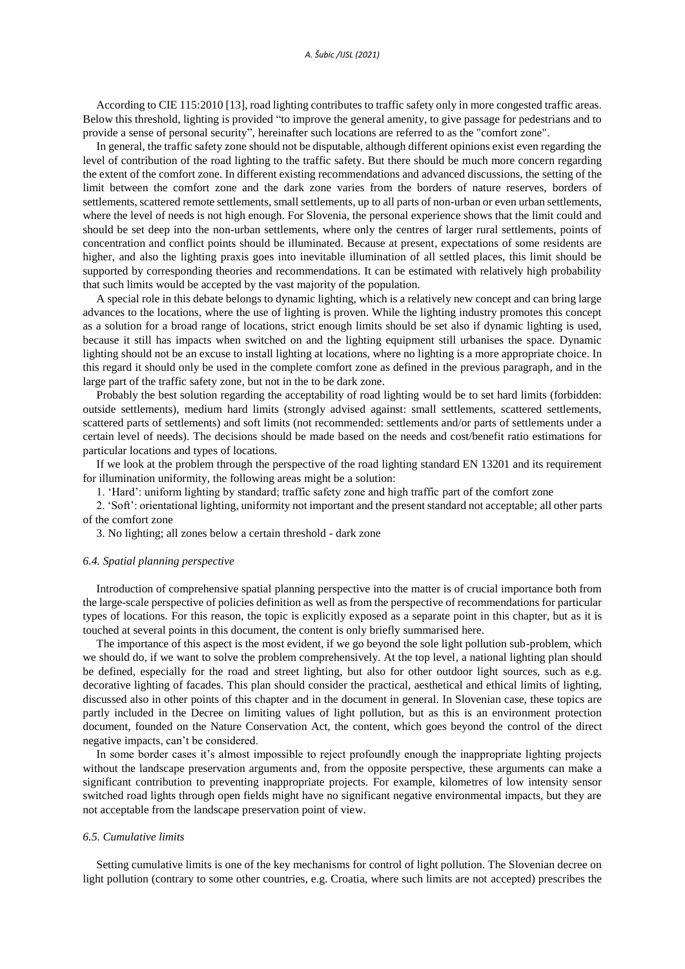According to CIE 115:2010 [13], road lighting contributes to traffic safety only in more congested traffic areas. Below this threshold, lighting is provided "to improve the general amenity, to give passage for pedestrians and to provide a sense of personal security", hereinafter such locations are referred to as the "comfort zone".

In general, the traffic safety zone should not be disputable, although different opinions exist even regarding the level of contribution of the road lighting to the traffic safety. But there should be much more concern regarding the extent of the comfort zone. In different existing recommendations and advanced discussions, the setting of the limit between the comfort zone and the dark zone varies from the borders of nature reserves, borders of settlements, scattered remote settlements, small settlements, up to all parts of non-urban or even urban settlements, where the level of needs is not high enough. For Slovenia, the personal experience shows that the limit could and should be set deep into the non-urban settlements, where only the centres of larger rural settlements, points of concentration and conflict points should be illuminated. Because at present, expectations of some residents are higher, and also the lighting praxis goes into inevitable illumination of all settled places, this limit should be supported by corresponding theories and recommendations. It can be estimated with relatively high probability that such limits would be accepted by the vast majority of the population.

A special role in this debate belongs to dynamic lighting, which is a relatively new concept and can bring large advances to the locations, where the use of lighting is proven. While the lighting industry promotes this concept as a solution for a broad range of locations, strict enough limits should be set also if dynamic lighting is used, because it still has impacts when switched on and the lighting equipment still urbanises the space. Dynamic lighting should not be an excuse to install lighting at locations, where no lighting is a more appropriate choice. In this regard it should only be used in the complete comfort zone as defined in the previous paragraph, and in the large part of the traffic safety zone, but not in the to be dark zone.

Probably the best solution regarding the acceptability of road lighting would be to set hard limits (forbidden: outside settlements), medium hard limits (strongly advised against: small settlements, scattered settlements, scattered parts of settlements) and soft limits (not recommended: settlements and/or parts of settlements under a certain level of needs). The decisions should be made based on the needs and cost/benefit ratio estimations for particular locations and types of locations.

If we look at the problem through the perspective of the road lighting standard EN 13201 and its requirement for illumination uniformity, the following areas might be a solution:

1. 'Hard': uniform lighting by standard; traffic safety zone and high traffic part of the comfort zone

2. 'Soft': orientational lighting, uniformity not important and the present standard not acceptable; all other parts of the comfort zone

3. No lighting; all zones below a certain threshold - dark zone

# *6.4. Spatial planning perspective*

Introduction of comprehensive spatial planning perspective into the matter is of crucial importance both from the large-scale perspective of policies definition as well as from the perspective of recommendations for particular types of locations. For this reason, the topic is explicitly exposed as a separate point in this chapter, but as it is touched at several points in this document, the content is only briefly summarised here.

The importance of this aspect is the most evident, if we go beyond the sole light pollution sub-problem, which we should do, if we want to solve the problem comprehensively. At the top level, a national lighting plan should be defined, especially for the road and street lighting, but also for other outdoor light sources, such as e.g. decorative lighting of facades. This plan should consider the practical, aesthetical and ethical limits of lighting, discussed also in other points of this chapter and in the document in general. In Slovenian case, these topics are partly included in the Decree on limiting values of light pollution, but as this is an environment protection document, founded on the Nature Conservation Act, the content, which goes beyond the control of the direct negative impacts, can't be considered.

In some border cases it's almost impossible to reject profoundly enough the inappropriate lighting projects without the landscape preservation arguments and, from the opposite perspective, these arguments can make a significant contribution to preventing inappropriate projects. For example, kilometres of low intensity sensor switched road lights through open fields might have no significant negative environmental impacts, but they are not acceptable from the landscape preservation point of view.

# *6.5. Cumulative limits*

Setting cumulative limits is one of the key mechanisms for control of light pollution. The Slovenian decree on light pollution (contrary to some other countries, e.g. Croatia, where such limits are not accepted) prescribes the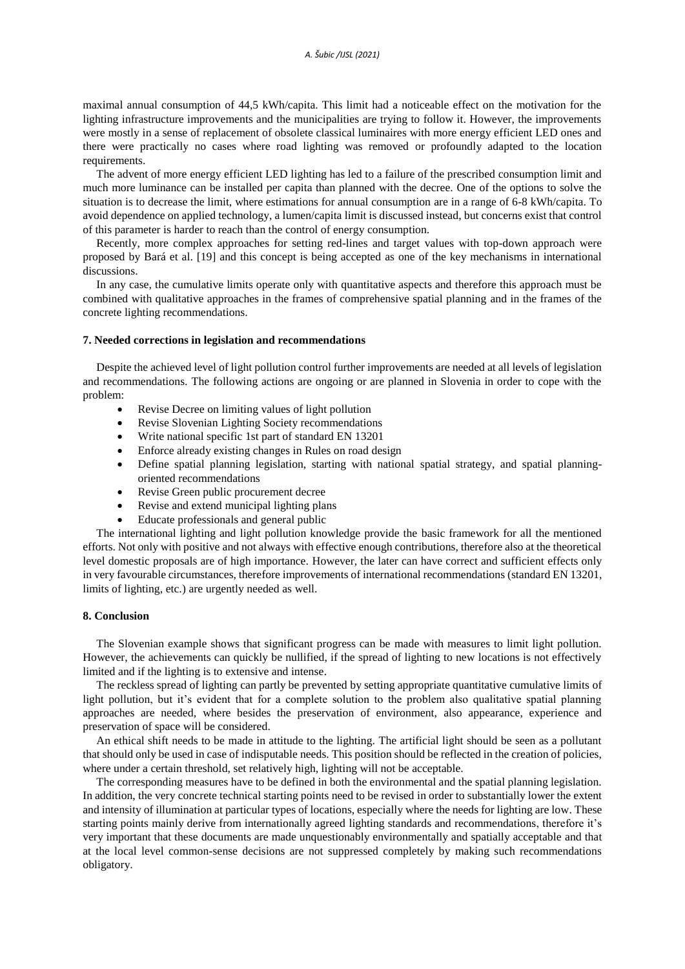maximal annual consumption of 44,5 kWh/capita. This limit had a noticeable effect on the motivation for the lighting infrastructure improvements and the municipalities are trying to follow it. However, the improvements were mostly in a sense of replacement of obsolete classical luminaires with more energy efficient LED ones and there were practically no cases where road lighting was removed or profoundly adapted to the location requirements.

The advent of more energy efficient LED lighting has led to a failure of the prescribed consumption limit and much more luminance can be installed per capita than planned with the decree. One of the options to solve the situation is to decrease the limit, where estimations for annual consumption are in a range of 6-8 kWh/capita. To avoid dependence on applied technology, a lumen/capita limit is discussed instead, but concerns exist that control of this parameter is harder to reach than the control of energy consumption.

Recently, more complex approaches for setting red-lines and target values with top-down approach were proposed by Bará et al. [19] and this concept is being accepted as one of the key mechanisms in international discussions.

In any case, the cumulative limits operate only with quantitative aspects and therefore this approach must be combined with qualitative approaches in the frames of comprehensive spatial planning and in the frames of the concrete lighting recommendations.

#### **7. Needed corrections in legislation and recommendations**

Despite the achieved level of light pollution control further improvements are needed at all levels of legislation and recommendations. The following actions are ongoing or are planned in Slovenia in order to cope with the problem:

- Revise Decree on limiting values of light pollution
- Revise Slovenian Lighting Society recommendations
- Write national specific 1st part of standard EN 13201
- Enforce already existing changes in Rules on road design
- Define spatial planning legislation, starting with national spatial strategy, and spatial planningoriented recommendations
- Revise Green public procurement decree
- Revise and extend municipal lighting plans
- Educate professionals and general public

The international lighting and light pollution knowledge provide the basic framework for all the mentioned efforts. Not only with positive and not always with effective enough contributions, therefore also at the theoretical level domestic proposals are of high importance. However, the later can have correct and sufficient effects only in very favourable circumstances, therefore improvements of international recommendations (standard EN 13201, limits of lighting, etc.) are urgently needed as well.

## **8. Conclusion**

The Slovenian example shows that significant progress can be made with measures to limit light pollution. However, the achievements can quickly be nullified, if the spread of lighting to new locations is not effectively limited and if the lighting is to extensive and intense.

The reckless spread of lighting can partly be prevented by setting appropriate quantitative cumulative limits of light pollution, but it's evident that for a complete solution to the problem also qualitative spatial planning approaches are needed, where besides the preservation of environment, also appearance, experience and preservation of space will be considered.

An ethical shift needs to be made in attitude to the lighting. The artificial light should be seen as a pollutant that should only be used in case of indisputable needs. This position should be reflected in the creation of policies, where under a certain threshold, set relatively high, lighting will not be acceptable.

The corresponding measures have to be defined in both the environmental and the spatial planning legislation. In addition, the very concrete technical starting points need to be revised in order to substantially lower the extent and intensity of illumination at particular types of locations, especially where the needs for lighting are low. These starting points mainly derive from internationally agreed lighting standards and recommendations, therefore it's very important that these documents are made unquestionably environmentally and spatially acceptable and that at the local level common-sense decisions are not suppressed completely by making such recommendations obligatory.